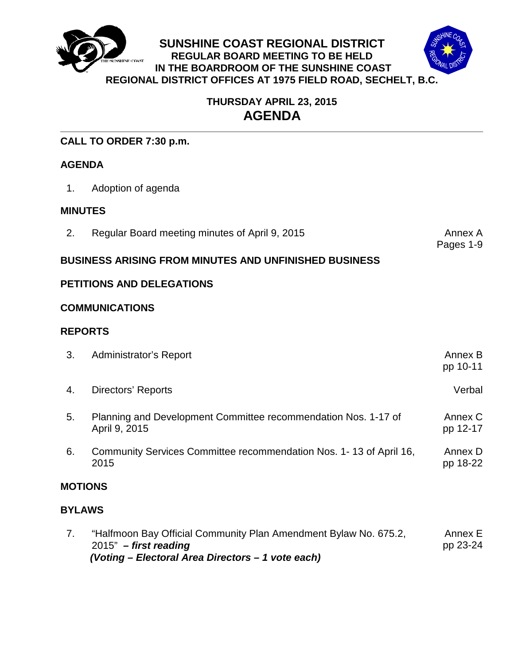



# **THURSDAY APRIL 23, 2015 AGENDA**

**SUNSHINE COAST REGIONAL DISTRICT REGULAR BOARD MEETING TO BE HELD IN THE BOARDROOM OF THE SUNSHINE COAST**

# **CALL TO ORDER 7:30 p.m.**

# **AGENDA**

1. Adoption of agenda

# **MINUTES**

2. Regular Board meeting minutes of April 9, 2015

Pages 1-9

# **BUSINESS ARISING FROM MINUTES AND UNFINISHED BUSINESS**

# **PETITIONS AND DELEGATIONS**

## **COMMUNICATIONS**

## **REPORTS**

| 3.             | Administrator's Report                                                          | Annex B<br>pp 10-11 |
|----------------|---------------------------------------------------------------------------------|---------------------|
| 4.             | Directors' Reports                                                              | Verbal              |
| 5.             | Planning and Development Committee recommendation Nos. 1-17 of<br>April 9, 2015 | Annex C<br>pp 12-17 |
| 6.             | Community Services Committee recommendation Nos. 1-13 of April 16,<br>2015      | Annex D<br>pp 18-22 |
| <b>MOTIONS</b> |                                                                                 |                     |
| <b>BYLAWS</b>  |                                                                                 |                     |
|                | .                                                                               |                     |

7. ["Halfmoon Bay Official Community Plan Amendment Bylaw No. 675.2,](#page-25-0)  2015" *– first reading (Voting – Electoral Area Directors – 1 vote each)* Annex E pp 23-24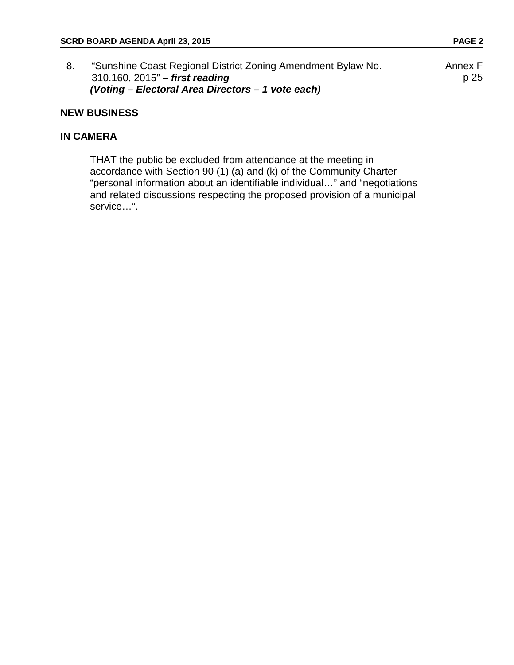| "Sunshine Coast Regional District Zoning Amendment Bylaw No. | Annex F |
|--------------------------------------------------------------|---------|
| $310.160$ , $2015"$ – first reading                          | p 25    |
| (Voting – Electoral Area Directors – 1 vote each)            |         |

## **NEW BUSINESS**

## **IN CAMERA**

THAT the public be excluded from attendance at the meeting in accordance with Section 90 (1) (a) and (k) of the Community Charter – "personal information about an identifiable individual…" and "negotiations and related discussions respecting the proposed provision of a municipal service…".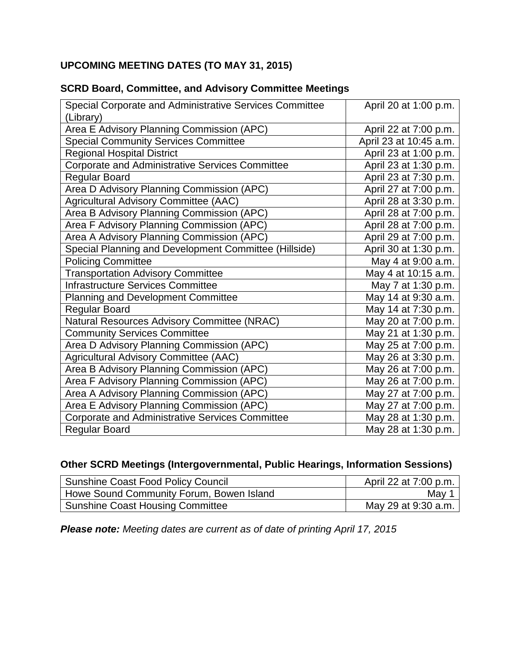# **UPCOMING MEETING DATES (TO MAY 31, 2015)**

| Special Corporate and Administrative Services Committee | April 20 at 1:00 p.m.  |
|---------------------------------------------------------|------------------------|
| (Library)                                               |                        |
| Area E Advisory Planning Commission (APC)               | April 22 at 7:00 p.m.  |
| <b>Special Community Services Committee</b>             | April 23 at 10:45 a.m. |
| <b>Regional Hospital District</b>                       | April 23 at 1:00 p.m.  |
| <b>Corporate and Administrative Services Committee</b>  | April 23 at 1:30 p.m.  |
| <b>Regular Board</b>                                    | April 23 at 7:30 p.m.  |
| Area D Advisory Planning Commission (APC)               | April 27 at 7:00 p.m.  |
| Agricultural Advisory Committee (AAC)                   | April 28 at 3:30 p.m.  |
| Area B Advisory Planning Commission (APC)               | April 28 at 7:00 p.m.  |
| Area F Advisory Planning Commission (APC)               | April 28 at 7:00 p.m.  |
| Area A Advisory Planning Commission (APC)               | April 29 at 7:00 p.m.  |
| Special Planning and Development Committee (Hillside)   | April 30 at 1:30 p.m.  |
| <b>Policing Committee</b>                               | May 4 at 9:00 a.m.     |
| <b>Transportation Advisory Committee</b>                | May 4 at 10:15 a.m.    |
| <b>Infrastructure Services Committee</b>                | May 7 at 1:30 p.m.     |
| <b>Planning and Development Committee</b>               | May 14 at 9:30 a.m.    |
| Regular Board                                           | May 14 at 7:30 p.m.    |
| Natural Resources Advisory Committee (NRAC)             | May 20 at 7:00 p.m.    |
| <b>Community Services Committee</b>                     | May 21 at 1:30 p.m.    |
| Area D Advisory Planning Commission (APC)               | May 25 at 7:00 p.m.    |
| Agricultural Advisory Committee (AAC)                   | May 26 at 3:30 p.m.    |
| Area B Advisory Planning Commission (APC)               | May 26 at 7:00 p.m.    |
| Area F Advisory Planning Commission (APC)               | May 26 at 7:00 p.m.    |
| Area A Advisory Planning Commission (APC)               | May 27 at 7:00 p.m.    |
| Area E Advisory Planning Commission (APC)               | May 27 at 7:00 p.m.    |
| <b>Corporate and Administrative Services Committee</b>  | May 28 at 1:30 p.m.    |
| <b>Regular Board</b>                                    | May 28 at 1:30 p.m.    |

# **SCRD Board, Committee, and Advisory Committee Meetings**

# **Other SCRD Meetings (Intergovernmental, Public Hearings, Information Sessions)**

| Sunshine Coast Food Policy Council       | April 22 at 7:00 p.m. 1 |
|------------------------------------------|-------------------------|
| Howe Sound Community Forum, Bowen Island | May                     |
| Sunshine Coast Housing Committee         | May 29 at 9:30 a.m.     |

*Please note: Meeting dates are current as of date of printing April 17, 2015*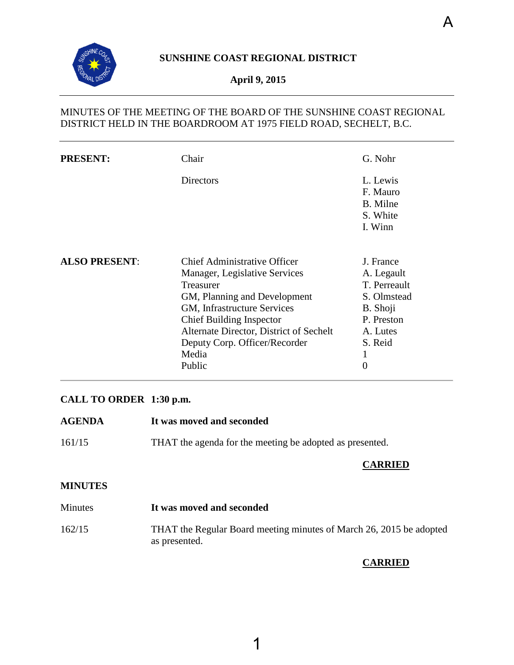<span id="page-3-0"></span>

# **April 9, 2015**

# MINUTES OF THE MEETING OF THE BOARD OF THE SUNSHINE COAST REGIONAL DISTRICT HELD IN THE BOARDROOM AT 1975 FIELD ROAD, SECHELT, B.C.

| <b>PRESENT:</b>      | Chair                                                                                                                                                                                                                                                                       | G. Nohr                                                                                                                      |
|----------------------|-----------------------------------------------------------------------------------------------------------------------------------------------------------------------------------------------------------------------------------------------------------------------------|------------------------------------------------------------------------------------------------------------------------------|
|                      | <b>Directors</b>                                                                                                                                                                                                                                                            | L. Lewis<br>F. Mauro<br>B. Milne<br>S. White<br>I. Winn                                                                      |
| <b>ALSO PRESENT:</b> | Chief Administrative Officer<br>Manager, Legislative Services<br>Treasurer<br>GM, Planning and Development<br>GM, Infrastructure Services<br><b>Chief Building Inspector</b><br>Alternate Director, District of Sechelt<br>Deputy Corp. Officer/Recorder<br>Media<br>Public | J. France<br>A. Legault<br>T. Perreault<br>S. Olmstead<br>B. Shoji<br>P. Preston<br>A. Lutes<br>S. Reid<br>$\mathbf{I}$<br>0 |

# **CALL TO ORDER 1:30 p.m.**

**AGENDA It was moved and seconded** 161/15 THAT the agenda for the meeting be adopted as presented. **CARRIED**

# **MINUTES**

| Minutes | It was moved and seconded                                                            |
|---------|--------------------------------------------------------------------------------------|
| 162/15  | THAT the Regular Board meeting minutes of March 26, 2015 be adopted<br>as presented. |

# **CARRIED**

A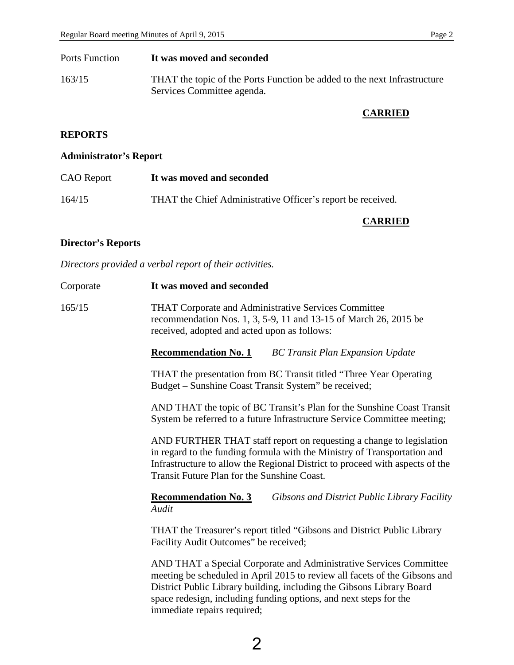| Ports Function | It was moved and seconded                                                                              |
|----------------|--------------------------------------------------------------------------------------------------------|
| 163/15         | THAT the topic of the Ports Function be added to the next Infrastructure<br>Services Committee agenda. |

# **CARRIED**

# **REPORTS**

# **Administrator's Report**

| <b>CAO</b> Report | It was moved and seconded                                   |
|-------------------|-------------------------------------------------------------|
| 164/15            | THAT the Chief Administrative Officer's report be received. |

## **CARRIED**

# **Director's Reports**

*Directors provided a verbal report of their activities.* 

| Corporate | It was moved and seconded                                                                                                                                                                                                                                                                                                     |
|-----------|-------------------------------------------------------------------------------------------------------------------------------------------------------------------------------------------------------------------------------------------------------------------------------------------------------------------------------|
| 165/15    | <b>THAT Corporate and Administrative Services Committee</b><br>recommendation Nos. 1, 3, 5-9, 11 and 13-15 of March 26, 2015 be<br>received, adopted and acted upon as follows:                                                                                                                                               |
|           | <b>Recommendation No. 1</b><br><b>BC Transit Plan Expansion Update</b>                                                                                                                                                                                                                                                        |
|           | THAT the presentation from BC Transit titled "Three Year Operating<br>Budget – Sunshine Coast Transit System" be received;                                                                                                                                                                                                    |
|           | AND THAT the topic of BC Transit's Plan for the Sunshine Coast Transit<br>System be referred to a future Infrastructure Service Committee meeting;                                                                                                                                                                            |
|           | AND FURTHER THAT staff report on requesting a change to legislation<br>in regard to the funding formula with the Ministry of Transportation and<br>Infrastructure to allow the Regional District to proceed with aspects of the<br>Transit Future Plan for the Sunshine Coast.                                                |
|           | <b>Recommendation No. 3</b><br>Gibsons and District Public Library Facility<br>Audit                                                                                                                                                                                                                                          |
|           | THAT the Treasurer's report titled "Gibsons and District Public Library<br>Facility Audit Outcomes" be received;                                                                                                                                                                                                              |
|           | AND THAT a Special Corporate and Administrative Services Committee<br>meeting be scheduled in April 2015 to review all facets of the Gibsons and<br>District Public Library building, including the Gibsons Library Board<br>space redesign, including funding options, and next steps for the<br>immediate repairs required; |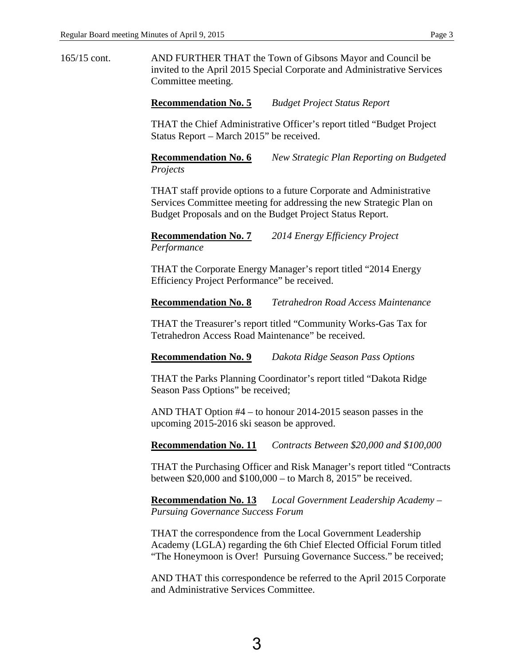165/15 cont. AND FURTHER THAT the Town of Gibsons Mayor and Council be invited to the April 2015 Special Corporate and Administrative Services Committee meeting.

**Recommendation No. 5** *Budget Project Status Report* 

THAT the Chief Administrative Officer's report titled "Budget Project Status Report – March 2015" be received.

**Recommendation No. 6** *New Strategic Plan Reporting on Budgeted Projects*

THAT staff provide options to a future Corporate and Administrative Services Committee meeting for addressing the new Strategic Plan on Budget Proposals and on the Budget Project Status Report.

**Recommendation No. 7** *2014 Energy Efficiency Project Performance* 

THAT the Corporate Energy Manager's report titled "2014 Energy Efficiency Project Performance" be received.

**Recommendation No. 8** *Tetrahedron Road Access Maintenance* 

THAT the Treasurer's report titled "Community Works-Gas Tax for Tetrahedron Access Road Maintenance" be received.

**Recommendation No. 9** *Dakota Ridge Season Pass Options* 

THAT the Parks Planning Coordinator's report titled "Dakota Ridge Season Pass Options" be received;

AND THAT Option #4 – to honour 2014-2015 season passes in the upcoming 2015-2016 ski season be approved.

**Recommendation No. 11** *Contracts Between \$20,000 and \$100,000* 

THAT the Purchasing Officer and Risk Manager's report titled "Contracts between \$20,000 and \$100,000 – to March 8, 2015" be received.

**Recommendation No. 13** *Local Government Leadership Academy – Pursuing Governance Success Forum* 

THAT the correspondence from the Local Government Leadership Academy (LGLA) regarding the 6th Chief Elected Official Forum titled "The Honeymoon is Over! Pursuing Governance Success." be received;

AND THAT this correspondence be referred to the April 2015 Corporate and Administrative Services Committee.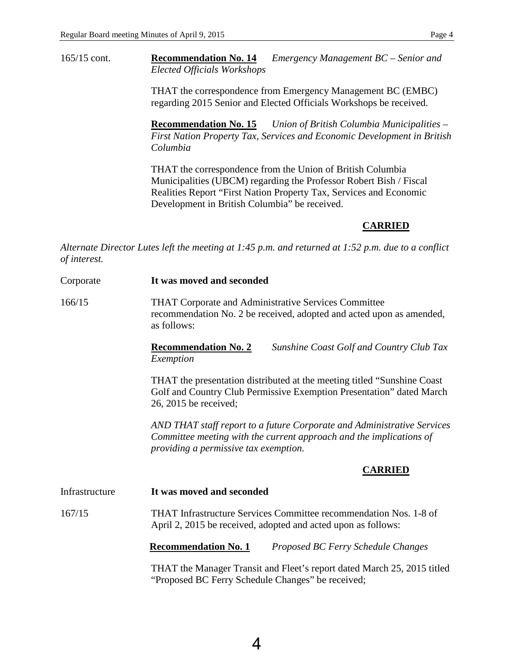165/15 cont. **Recommendation No. 14** *Emergency Management BC – Senior and Elected Officials Workshops*

> THAT the correspondence from Emergency Management BC (EMBC) regarding 2015 Senior and Elected Officials Workshops be received.

**Recommendation No. 15** *Union of British Columbia Municipalities – First Nation Property Tax, Services and Economic Development in British Columbia* 

THAT the correspondence from the Union of British Columbia Municipalities (UBCM) regarding the Professor Robert Bish / Fiscal Realities Report "First Nation Property Tax, Services and Economic Development in British Columbia" be received.

#### **CARRIED**

*Alternate Director Lutes left the meeting at 1:45 p.m. and returned at 1:52 p.m. due to a conflict of interest.*

| Corporate      | It was moved and seconded                                                                                                                                                               |
|----------------|-----------------------------------------------------------------------------------------------------------------------------------------------------------------------------------------|
| 166/15         | THAT Corporate and Administrative Services Committee<br>recommendation No. 2 be received, adopted and acted upon as amended,<br>as follows:                                             |
|                | <b>Recommendation No. 2</b><br><b>Sunshine Coast Golf and Country Club Tax</b><br>Exemption                                                                                             |
|                | THAT the presentation distributed at the meeting titled "Sunshine Coast"<br>Golf and Country Club Permissive Exemption Presentation" dated March<br>26, 2015 be received;               |
|                | AND THAT staff report to a future Corporate and Administrative Services<br>Committee meeting with the current approach and the implications of<br>providing a permissive tax exemption. |
|                | <b>CARRIED</b>                                                                                                                                                                          |
| Infrastructure | It was moved and seconded                                                                                                                                                               |
| 167/15         | THAT Infrastructure Services Committee recommendation Nos. 1-8 of<br>April 2, 2015 be received, adopted and acted upon as follows:                                                      |
|                | <b>Recommendation No. 1</b><br>Proposed BC Ferry Schedule Changes                                                                                                                       |
|                | THAT the Manager Transit and Fleet's report dated March 25, 2015 titled<br>"Proposed BC Ferry Schedule Changes" be received;                                                            |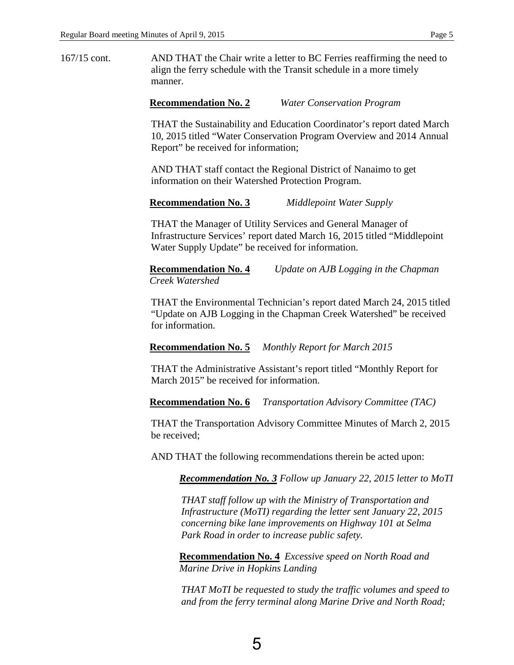167/15 cont. AND THAT the Chair write a letter to BC Ferries reaffirming the need to align the ferry schedule with the Transit schedule in a more timely manner.

#### **Recommendation No. 2** *Water Conservation Program*

THAT the Sustainability and Education Coordinator's report dated March 10, 2015 titled "Water Conservation Program Overview and 2014 Annual Report" be received for information;

AND THAT staff contact the Regional District of Nanaimo to get information on their Watershed Protection Program.

#### **Recommendation No. 3** *Middlepoint Water Supply*

THAT the Manager of Utility Services and General Manager of Infrastructure Services' report dated March 16, 2015 titled "Middlepoint Water Supply Update" be received for information.

**Recommendation No. 4** *Update on AJB Logging in the Chapman Creek Watershed*

THAT the Environmental Technician's report dated March 24, 2015 titled "Update on AJB Logging in the Chapman Creek Watershed" be received for information.

**Recommendation No. 5** *Monthly Report for March 2015* 

THAT the Administrative Assistant's report titled "Monthly Report for March 2015" be received for information.

**Recommendation No. 6** *Transportation Advisory Committee (TAC)*

THAT the Transportation Advisory Committee Minutes of March 2, 2015 be received;

AND THAT the following recommendations therein be acted upon:

*Recommendation No. 3 Follow up January 22, 2015 letter to MoTI* 

*THAT staff follow up with the Ministry of Transportation and Infrastructure (MoTI) regarding the letter sent January 22, 2015 concerning bike lane improvements on Highway 101 at Selma Park Road in order to increase public safety.* 

**Recommendation No. 4** *Excessive speed on North Road and Marine Drive in Hopkins Landing*

*THAT MoTI be requested to study the traffic volumes and speed to and from the ferry terminal along Marine Drive and North Road;*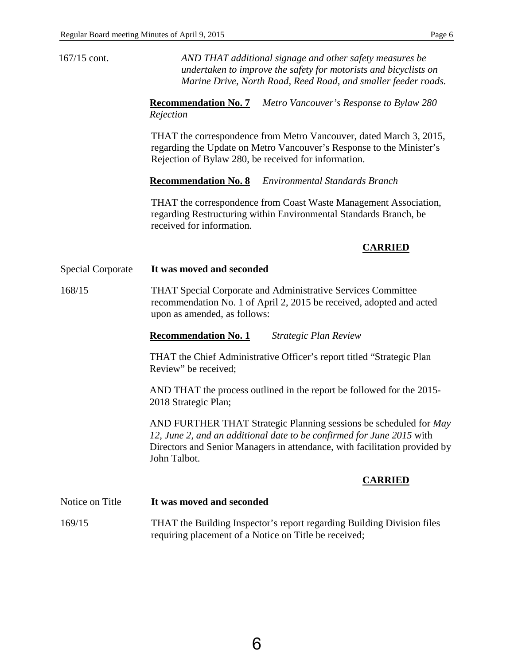| $167/15$ cont.           | AND THAT additional signage and other safety measures be<br>undertaken to improve the safety for motorists and bicyclists on<br>Marine Drive, North Road, Reed Road, and smaller feeder roads.                                           |
|--------------------------|------------------------------------------------------------------------------------------------------------------------------------------------------------------------------------------------------------------------------------------|
|                          | <b>Recommendation No. 7</b><br>Metro Vancouver's Response to Bylaw 280<br>Rejection                                                                                                                                                      |
|                          | THAT the correspondence from Metro Vancouver, dated March 3, 2015,<br>regarding the Update on Metro Vancouver's Response to the Minister's<br>Rejection of Bylaw 280, be received for information.                                       |
|                          | <b>Recommendation No. 8</b><br><b>Environmental Standards Branch</b>                                                                                                                                                                     |
|                          | THAT the correspondence from Coast Waste Management Association,<br>regarding Restructuring within Environmental Standards Branch, be<br>received for information.                                                                       |
|                          | <b>CARRIED</b>                                                                                                                                                                                                                           |
| <b>Special Corporate</b> | It was moved and seconded                                                                                                                                                                                                                |
| 168/15                   | THAT Special Corporate and Administrative Services Committee<br>recommendation No. 1 of April 2, 2015 be received, adopted and acted<br>upon as amended, as follows:                                                                     |
|                          | <b>Recommendation No. 1</b><br><b>Strategic Plan Review</b>                                                                                                                                                                              |
|                          | THAT the Chief Administrative Officer's report titled "Strategic Plan<br>Review" be received;                                                                                                                                            |
|                          | AND THAT the process outlined in the report be followed for the 2015-<br>2018 Strategic Plan;                                                                                                                                            |
|                          | AND FURTHER THAT Strategic Planning sessions be scheduled for May<br>12, June 2, and an additional date to be confirmed for June 2015 with<br>Directors and Senior Managers in attendance, with facilitation provided by<br>John Talbot. |
|                          | <b>CARRIED</b>                                                                                                                                                                                                                           |
| Notice on Title          | It was moved and seconded                                                                                                                                                                                                                |
| 169/15                   | THAT the Building Inspector's report regarding Building Division files<br>requiring placement of a Notice on Title be received;                                                                                                          |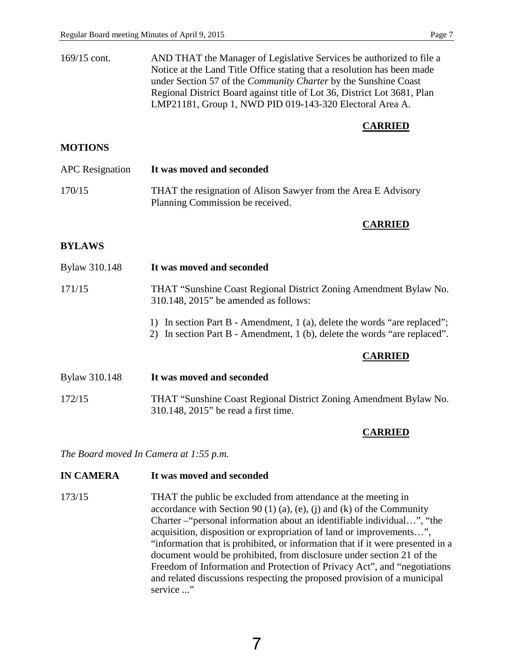| $169/15$ cont. | AND THAT the Manager of Legislative Services be authorized to file a     |
|----------------|--------------------------------------------------------------------------|
|                | Notice at the Land Title Office stating that a resolution has been made  |
|                | under Section 57 of the <i>Community Charter</i> by the Sunshine Coast   |
|                | Regional District Board against title of Lot 36, District Lot 3681, Plan |
|                | LMP21181, Group 1, NWD PID 019-143-320 Electoral Area A.                 |

#### **CARRIED**

## **MOTIONS**

| <b>APC</b> Resignation | It was moved and seconded                                                                          |
|------------------------|----------------------------------------------------------------------------------------------------|
| 170/15                 | THAT the resignation of Alison Sawyer from the Area E Advisory<br>Planning Commission be received. |

## **CARRIED**

#### **BYLAWS**

| Bylaw 310.148 | It was moved and seconded                                                                                                                              |  |
|---------------|--------------------------------------------------------------------------------------------------------------------------------------------------------|--|
| 171/15        | THAT "Sunshine Coast Regional District Zoning Amendment Bylaw No.<br>$310.148$ , $2015$ " be amended as follows:                                       |  |
|               | 1) In section Part B - Amendment, 1 (a), delete the words "are replaced";<br>2) In section Part B - Amendment, 1 (b), delete the words "are replaced". |  |
|               | <b>CARRIED</b>                                                                                                                                         |  |
| Bylaw 310.148 | It was moved and seconded                                                                                                                              |  |
| 172/15        | THAT "Sunshine Coast Regional District Zoning Amendment Bylaw No.<br>310.148, 2015" be read a first time.                                              |  |

# **CARRIED**

*The Board moved In Camera at 1:55 p.m.*

## **IN CAMERA It was moved and seconded**

173/15 THAT the public be excluded from attendance at the meeting in accordance with Section 90 (1) (a), (e), (j) and (k) of the Community Charter –"personal information about an identifiable individual…", "the acquisition, disposition or expropriation of land or improvements…", "information that is prohibited, or information that if it were presented in a document would be prohibited, from disclosure under section 21 of the Freedom of Information and Protection of Privacy Act", and "negotiations and related discussions respecting the proposed provision of a municipal service ..."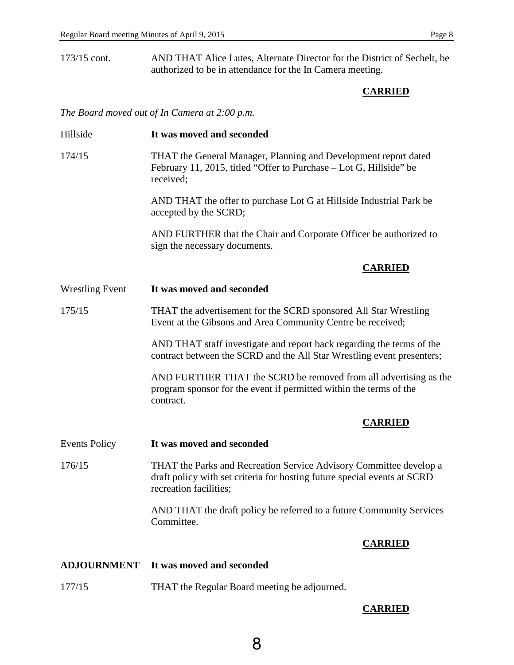173/15 cont. AND THAT Alice Lutes, Alternate Director for the District of Sechelt, be authorized to be in attendance for the In Camera meeting.

# **CARRIED**

*The Board moved out of In Camera at 2:00 p.m.* 

| Hillside               | It was moved and seconded                                                                                                                                                |  |
|------------------------|--------------------------------------------------------------------------------------------------------------------------------------------------------------------------|--|
| 174/15                 | THAT the General Manager, Planning and Development report dated<br>February 11, 2015, titled "Offer to Purchase – Lot G, Hillside" be<br>received;                       |  |
|                        | AND THAT the offer to purchase Lot G at Hillside Industrial Park be<br>accepted by the SCRD;                                                                             |  |
|                        | AND FURTHER that the Chair and Corporate Officer be authorized to<br>sign the necessary documents.                                                                       |  |
|                        | <b>CARRIED</b>                                                                                                                                                           |  |
| <b>Wrestling Event</b> | It was moved and seconded                                                                                                                                                |  |
| 175/15                 | THAT the advertisement for the SCRD sponsored All Star Wrestling<br>Event at the Gibsons and Area Community Centre be received;                                          |  |
|                        | AND THAT staff investigate and report back regarding the terms of the<br>contract between the SCRD and the All Star Wrestling event presenters;                          |  |
|                        | AND FURTHER THAT the SCRD be removed from all advertising as the<br>program sponsor for the event if permitted within the terms of the<br>contract.                      |  |
|                        | <b>CARRIED</b>                                                                                                                                                           |  |
| <b>Events Policy</b>   | It was moved and seconded                                                                                                                                                |  |
| 176/15                 | THAT the Parks and Recreation Service Advisory Committee develop a<br>draft policy with set criteria for hosting future special events at SCRD<br>recreation facilities; |  |
|                        | AND THAT the draft policy be referred to a future Community Services<br>Committee.                                                                                       |  |
|                        | <b>CARRIED</b>                                                                                                                                                           |  |
| <b>ADJOURNMENT</b>     | It was moved and seconded                                                                                                                                                |  |
| 177/15                 | THAT the Regular Board meeting be adjourned.                                                                                                                             |  |

# **CARRIED**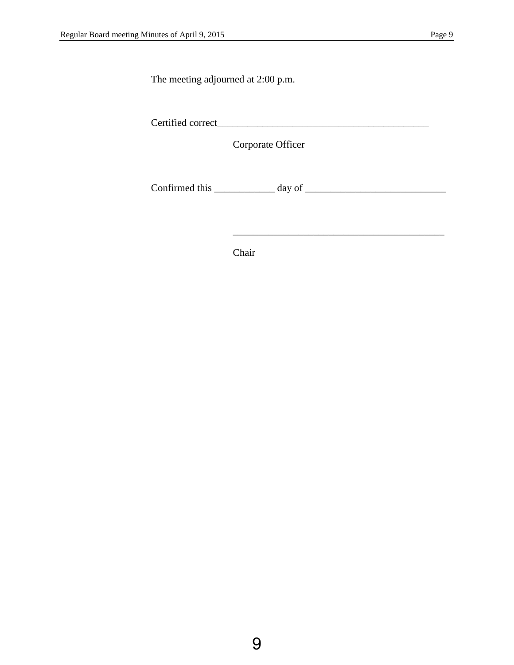The meeting adjourned at 2:00 p.m.

Certified correct\_\_\_\_\_\_\_\_\_\_\_\_\_\_\_\_\_\_\_\_\_\_\_\_\_\_\_\_\_\_\_\_\_\_\_\_\_\_\_\_\_\_

Corporate Officer

Confirmed this  $\_\_\_\_\_\_\_\$  day of  $\_\_\_\_\_\_\_\_\_\_\_\_$ 

 $\overline{\phantom{a}}$  ,  $\overline{\phantom{a}}$  ,  $\overline{\phantom{a}}$  ,  $\overline{\phantom{a}}$  ,  $\overline{\phantom{a}}$  ,  $\overline{\phantom{a}}$  ,  $\overline{\phantom{a}}$  ,  $\overline{\phantom{a}}$  ,  $\overline{\phantom{a}}$  ,  $\overline{\phantom{a}}$  ,  $\overline{\phantom{a}}$  ,  $\overline{\phantom{a}}$  ,  $\overline{\phantom{a}}$  ,  $\overline{\phantom{a}}$  ,  $\overline{\phantom{a}}$  ,  $\overline{\phantom{a}}$ 

Chair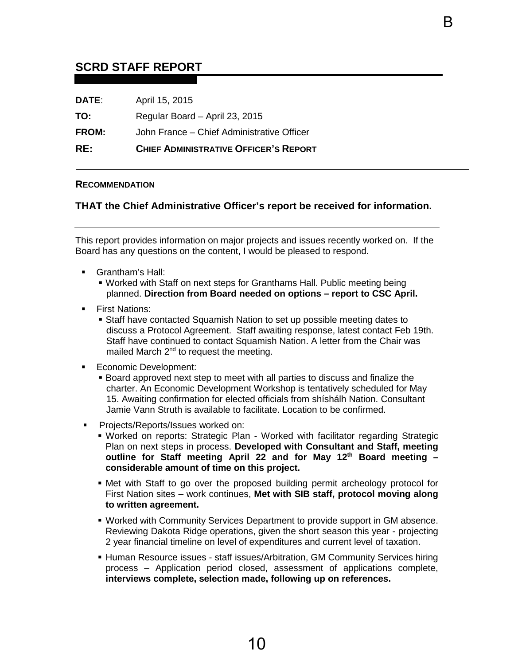# <span id="page-12-0"></span>**SCRD STAFF REPORT**

| RE:          | <b>CHIEF ADMINISTRATIVE OFFICER'S REPORT</b> |
|--------------|----------------------------------------------|
| <b>FROM:</b> | John France – Chief Administrative Officer   |
| TO:          | Regular Board - April 23, 2015               |
| <b>DATE:</b> | April 15, 2015                               |

#### **RECOMMENDATION**

#### **THAT the Chief Administrative Officer's report be received for information.**

B

This report provides information on major projects and issues recently worked on. If the Board has any questions on the content, I would be pleased to respond.

- Grantham's Hall:
	- Worked with Staff on next steps for Granthams Hall. Public meeting being planned. **Direction from Board needed on options – report to CSC April.**
- **First Nations:** 
	- Staff have contacted Squamish Nation to set up possible meeting dates to discuss a Protocol Agreement. Staff awaiting response, latest contact Feb 19th. Staff have continued to contact Squamish Nation. A letter from the Chair was mailed March 2<sup>nd</sup> to request the meeting.
- **Economic Development:** 
	- Board approved next step to meet with all parties to discuss and finalize the charter. An Economic Development Workshop is tentatively scheduled for May 15. Awaiting confirmation for elected officials from shíshálh Nation. Consultant Jamie Vann Struth is available to facilitate. Location to be confirmed.
- Projects/Reports/Issues worked on:
	- Worked on reports: Strategic Plan Worked with facilitator regarding Strategic Plan on next steps in process. **Developed with Consultant and Staff, meeting outline for Staff meeting April 22 and for May 12th Board meeting – considerable amount of time on this project.**
	- Met with Staff to go over the proposed building permit archeology protocol for First Nation sites – work continues, **Met with SIB staff, protocol moving along to written agreement.**
	- Worked with Community Services Department to provide support in GM absence. Reviewing Dakota Ridge operations, given the short season this year - projecting 2 year financial timeline on level of expenditures and current level of taxation.
	- **Human Resource issues staff issues/Arbitration, GM Community Services hiring** process – Application period closed, assessment of applications complete, **interviews complete, selection made, following up on references.**

10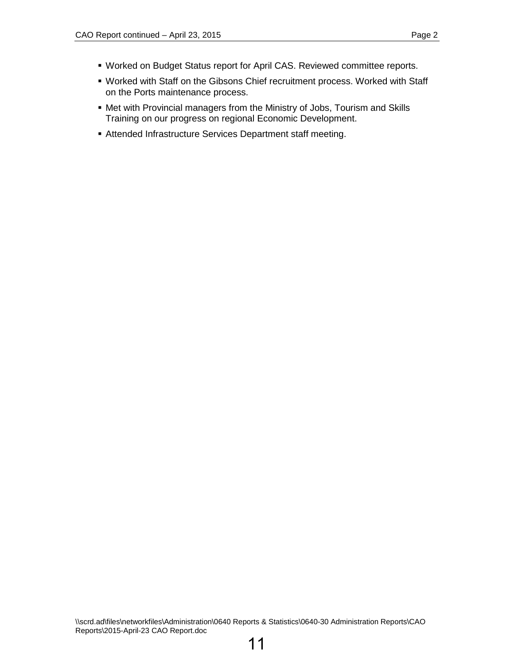- Worked on Budget Status report for April CAS. Reviewed committee reports.
- Worked with Staff on the Gibsons Chief recruitment process. Worked with Staff on the Ports maintenance process.
- Met with Provincial managers from the Ministry of Jobs, Tourism and Skills Training on our progress on regional Economic Development.
- Attended Infrastructure Services Department staff meeting.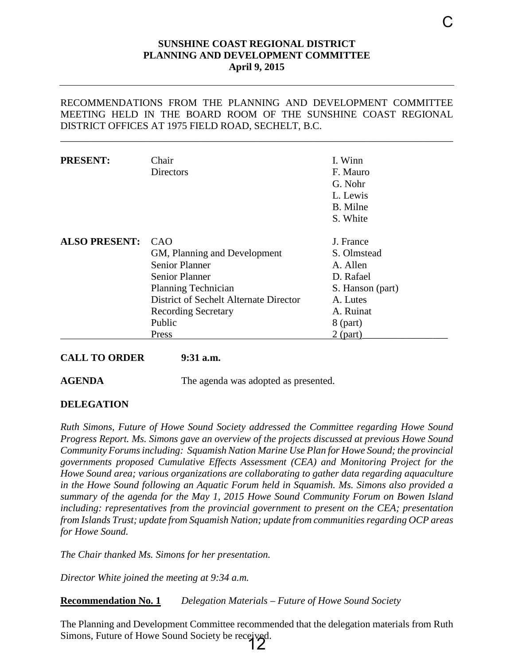### **SUNSHINE COAST REGIONAL DISTRICT PLANNING AND DEVELOPMENT COMMITTEE April 9, 2015**

#### <span id="page-14-0"></span>RECOMMENDATIONS FROM THE PLANNING AND DEVELOPMENT COMMITTEE MEETING HELD IN THE BOARD ROOM OF THE SUNSHINE COAST REGIONAL DISTRICT OFFICES AT 1975 FIELD ROAD, SECHELT, B.C.

\_\_\_\_\_\_\_\_\_\_\_\_\_\_\_\_\_\_\_\_\_\_\_\_\_\_\_\_\_\_\_\_\_\_\_\_\_\_\_\_\_\_\_\_\_\_\_\_\_\_\_\_\_\_\_\_\_\_\_\_\_\_\_\_\_\_\_\_\_\_\_\_\_\_\_\_\_\_

| <b>PRESENT:</b>      | Chair<br><b>Directors</b>                                                                                                                                     | I. Winn<br>F. Mauro<br>G. Nohr<br>L. Lewis<br>B. Milne<br>S. White                |
|----------------------|---------------------------------------------------------------------------------------------------------------------------------------------------------------|-----------------------------------------------------------------------------------|
| <b>ALSO PRESENT:</b> | CAO<br>GM, Planning and Development<br><b>Senior Planner</b><br><b>Senior Planner</b><br><b>Planning Technician</b><br>District of Sechelt Alternate Director | J. France<br>S. Olmstead<br>A. Allen<br>D. Rafael<br>S. Hanson (part)<br>A. Lutes |
|                      | <b>Recording Secretary</b><br>Public<br>Press                                                                                                                 | A. Ruinat<br>$8$ (part)<br>$2$ (part)                                             |

#### **CALL TO ORDER 9:31 a.m.**

**AGENDA** The agenda was adopted as presented.

#### **DELEGATION**

*Ruth Simons, Future of Howe Sound Society addressed the Committee regarding Howe Sound Progress Report. Ms. Simons gave an overview of the projects discussed at previous Howe Sound Community Forums including: Squamish Nation Marine Use Plan for Howe Sound; the provincial governments proposed Cumulative Effects Assessment (CEA) and Monitoring Project for the Howe Sound area; various organizations are collaborating to gather data regarding aquaculture in the Howe Sound following an Aquatic Forum held in Squamish. Ms. Simons also provided a summary of the agenda for the May 1, 2015 Howe Sound Community Forum on Bowen Island including: representatives from the provincial government to present on the CEA; presentation from Islands Trust; update from Squamish Nation; update from communities regarding OCP areas for Howe Sound.* 

*The Chair thanked Ms. Simons for her presentation.* 

*Director White joined the meeting at 9:34 a.m.*

**Recommendation No. 1** *Delegation Materials – Future of Howe Sound Society* 

The Planning and Development Committee recommended that the delegation materials from Ruth Simons, Future of Howe Sound Society be received.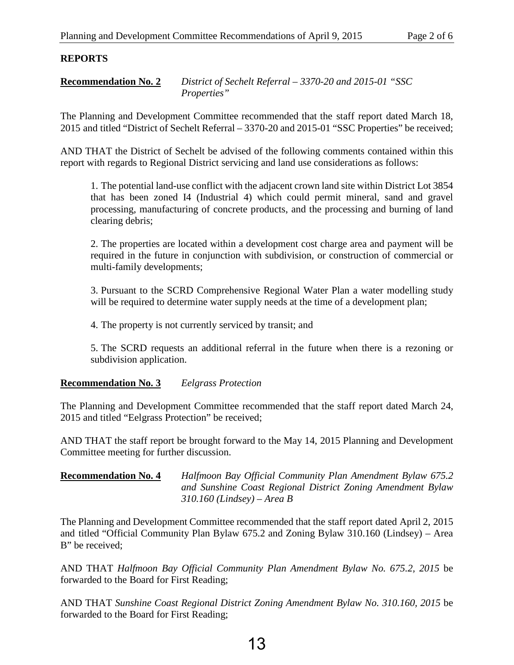# **REPORTS**

**Recommendation No. 2** *District of Sechelt Referral – 3370-20 and 2015-01 "SSC Properties"*

The Planning and Development Committee recommended that the staff report dated March 18, 2015 and titled "District of Sechelt Referral – 3370-20 and 2015-01 "SSC Properties" be received;

AND THAT the District of Sechelt be advised of the following comments contained within this report with regards to Regional District servicing and land use considerations as follows:

1. The potential land-use conflict with the adjacent crown land site within District Lot 3854 that has been zoned I4 (Industrial 4) which could permit mineral, sand and gravel processing, manufacturing of concrete products, and the processing and burning of land clearing debris;

2. The properties are located within a development cost charge area and payment will be required in the future in conjunction with subdivision, or construction of commercial or multi-family developments;

3. Pursuant to the SCRD Comprehensive Regional Water Plan a water modelling study will be required to determine water supply needs at the time of a development plan;

4. The property is not currently serviced by transit; and

5. The SCRD requests an additional referral in the future when there is a rezoning or subdivision application.

# **Recommendation No. 3** *Eelgrass Protection*

The Planning and Development Committee recommended that the staff report dated March 24, 2015 and titled "Eelgrass Protection" be received;

AND THAT the staff report be brought forward to the May 14, 2015 Planning and Development Committee meeting for further discussion.

# **Recommendation No. 4** *Halfmoon Bay Official Community Plan Amendment Bylaw 675.2 and Sunshine Coast Regional District Zoning Amendment Bylaw 310.160 (Lindsey) – Area B*

The Planning and Development Committee recommended that the staff report dated April 2, 2015 and titled "Official Community Plan Bylaw 675.2 and Zoning Bylaw 310.160 (Lindsey) – Area B" be received;

AND THAT *Halfmoon Bay Official Community Plan Amendment Bylaw No. 675.2, 2015* be forwarded to the Board for First Reading;

AND THAT *Sunshine Coast Regional District Zoning Amendment Bylaw No. 310.160, 2015* be forwarded to the Board for First Reading;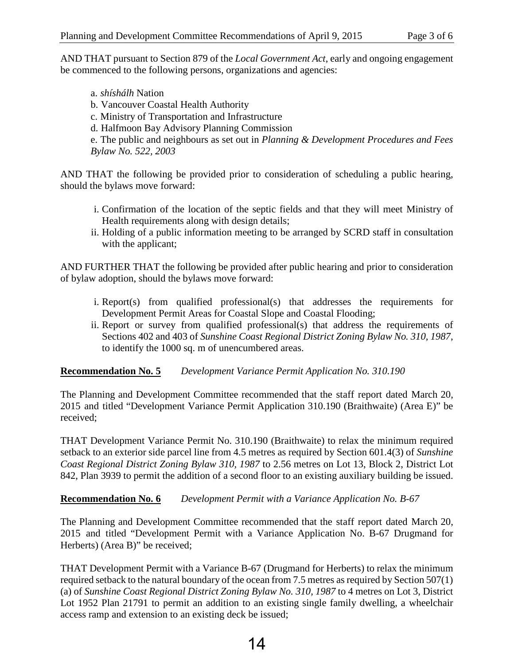AND THAT pursuant to Section 879 of the *Local Government Act*, early and ongoing engagement be commenced to the following persons, organizations and agencies:

a. *shíshálh* Nation b. Vancouver Coastal Health Authority c. Ministry of Transportation and Infrastructure d. Halfmoon Bay Advisory Planning Commission e. The public and neighbours as set out in *Planning & Development Procedures and Fees Bylaw No. 522, 2003*

AND THAT the following be provided prior to consideration of scheduling a public hearing, should the bylaws move forward:

- i. Confirmation of the location of the septic fields and that they will meet Ministry of Health requirements along with design details;
- ii. Holding of a public information meeting to be arranged by SCRD staff in consultation with the applicant;

AND FURTHER THAT the following be provided after public hearing and prior to consideration of bylaw adoption, should the bylaws move forward:

- i. Report(s) from qualified professional(s) that addresses the requirements for Development Permit Areas for Coastal Slope and Coastal Flooding;
- ii. Report or survey from qualified professional(s) that address the requirements of Sections 402 and 403 of *Sunshine Coast Regional District Zoning Bylaw No. 310, 1987*, to identify the 1000 sq. m of unencumbered areas.

# **Recommendation No. 5** *Development Variance Permit Application No. 310.190*

The Planning and Development Committee recommended that the staff report dated March 20, 2015 and titled "Development Variance Permit Application 310.190 (Braithwaite) (Area E)" be received;

THAT Development Variance Permit No. 310.190 (Braithwaite) to relax the minimum required setback to an exterior side parcel line from 4.5 metres as required by Section 601.4(3) of *Sunshine Coast Regional District Zoning Bylaw 310, 1987* to 2.56 metres on Lot 13, Block 2, District Lot 842, Plan 3939 to permit the addition of a second floor to an existing auxiliary building be issued.

# **Recommendation No. 6** *Development Permit with a Variance Application No. B-67*

The Planning and Development Committee recommended that the staff report dated March 20, 2015 and titled "Development Permit with a Variance Application No. B-67 Drugmand for Herberts) (Area B)" be received;

THAT Development Permit with a Variance B-67 (Drugmand for Herberts) to relax the minimum required setback to the natural boundary of the ocean from 7.5 metres as required by Section 507(1) (a) of *Sunshine Coast Regional District Zoning Bylaw No. 310, 1987* to 4 metres on Lot 3, District Lot 1952 Plan 21791 to permit an addition to an existing single family dwelling, a wheelchair access ramp and extension to an existing deck be issued;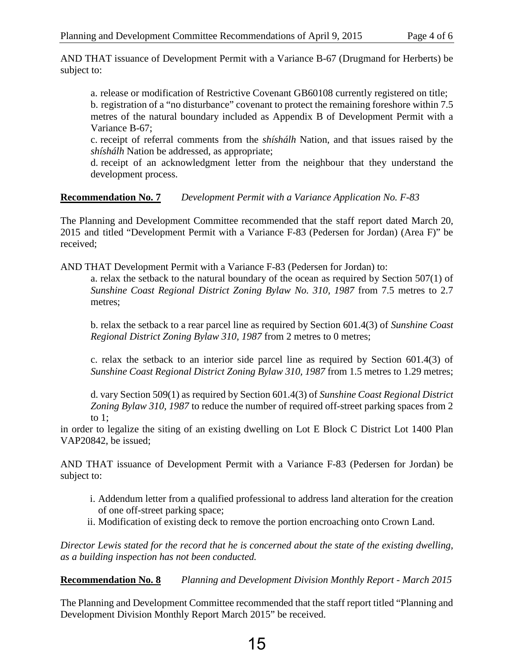AND THAT issuance of Development Permit with a Variance B-67 (Drugmand for Herberts) be subject to:

a. release or modification of Restrictive Covenant GB60108 currently registered on title;

b. registration of a "no disturbance" covenant to protect the remaining foreshore within 7.5 metres of the natural boundary included as Appendix B of Development Permit with a Variance B-67;

c. receipt of referral comments from the *shíshálh* Nation, and that issues raised by the *shíshálh* Nation be addressed, as appropriate;

d. receipt of an acknowledgment letter from the neighbour that they understand the development process.

# **Recommendation No. 7** *Development Permit with a Variance Application No. F-83*

The Planning and Development Committee recommended that the staff report dated March 20, 2015 and titled "Development Permit with a Variance F-83 (Pedersen for Jordan) (Area F)" be received;

AND THAT Development Permit with a Variance F-83 (Pedersen for Jordan) to:

a. relax the setback to the natural boundary of the ocean as required by Section 507(1) of *Sunshine Coast Regional District Zoning Bylaw No. 310, 1987* from 7.5 metres to 2.7 metres;

b. relax the setback to a rear parcel line as required by Section 601.4(3) of *Sunshine Coast Regional District Zoning Bylaw 310, 1987* from 2 metres to 0 metres;

c. relax the setback to an interior side parcel line as required by Section 601.4(3) of *Sunshine Coast Regional District Zoning Bylaw 310, 1987* from 1.5 metres to 1.29 metres;

d. vary Section 509(1) as required by Section 601.4(3) of *Sunshine Coast Regional District Zoning Bylaw 310, 1987* to reduce the number of required off-street parking spaces from 2 to  $1$ :

in order to legalize the siting of an existing dwelling on Lot E Block C District Lot 1400 Plan VAP20842, be issued;

AND THAT issuance of Development Permit with a Variance F-83 (Pedersen for Jordan) be subject to:

- i. Addendum letter from a qualified professional to address land alteration for the creation of one off-street parking space;
- ii. Modification of existing deck to remove the portion encroaching onto Crown Land.

*Director Lewis stated for the record that he is concerned about the state of the existing dwelling, as a building inspection has not been conducted.* 

**Recommendation No. 8** *Planning and Development Division Monthly Report - March 2015* 

The Planning and Development Committee recommended that the staff report titled "Planning and Development Division Monthly Report March 2015" be received.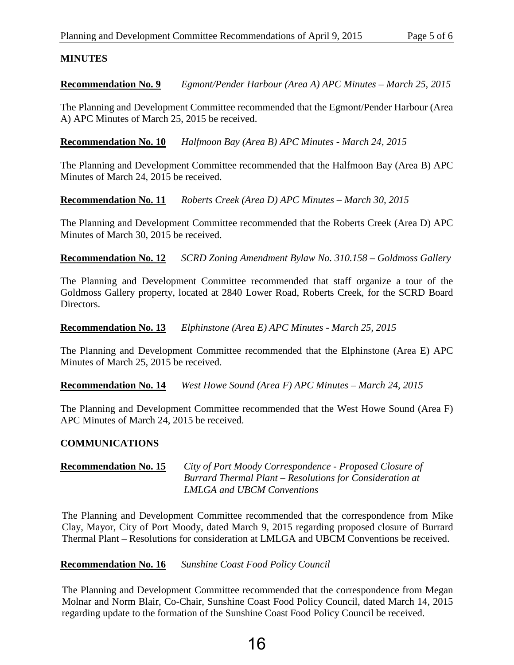# **MINUTES**

**Recommendation No. 9** *Egmont/Pender Harbour (Area A) APC Minutes – March 25, 2015* 

The Planning and Development Committee recommended that the Egmont/Pender Harbour (Area A) APC Minutes of March 25, 2015 be received.

**Recommendation No. 10** *Halfmoon Bay (Area B) APC Minutes - March 24, 2015* 

The Planning and Development Committee recommended that the Halfmoon Bay (Area B) APC Minutes of March 24, 2015 be received.

**Recommendation No. 11** *Roberts Creek (Area D) APC Minutes – March 30, 2015* 

The Planning and Development Committee recommended that the Roberts Creek (Area D) APC Minutes of March 30, 2015 be received.

**Recommendation No. 12** *SCRD Zoning Amendment Bylaw No. 310.158 – Goldmoss Gallery* 

The Planning and Development Committee recommended that staff organize a tour of the Goldmoss Gallery property, located at 2840 Lower Road, Roberts Creek, for the SCRD Board Directors.

**Recommendation No. 13** *Elphinstone (Area E) APC Minutes - March 25, 2015*

The Planning and Development Committee recommended that the Elphinstone (Area E) APC Minutes of March 25, 2015 be received.

**Recommendation No. 14** *West Howe Sound (Area F) APC Minutes – March 24, 2015*

The Planning and Development Committee recommended that the West Howe Sound (Area F) APC Minutes of March 24, 2015 be received.

# **COMMUNICATIONS**

**Recommendation No. 15** *City of Port Moody Correspondence - Proposed Closure of Burrard Thermal Plant – Resolutions for Consideration at LMLGA and UBCM Conventions*

The Planning and Development Committee recommended that the correspondence from Mike Clay, Mayor, City of Port Moody, dated March 9, 2015 regarding proposed closure of Burrard Thermal Plant – Resolutions for consideration at LMLGA and UBCM Conventions be received.

**Recommendation No. 16** *Sunshine Coast Food Policy Council*

The Planning and Development Committee recommended that the correspondence from Megan Molnar and Norm Blair, Co-Chair, Sunshine Coast Food Policy Council, dated March 14, 2015 regarding update to the formation of the Sunshine Coast Food Policy Council be received.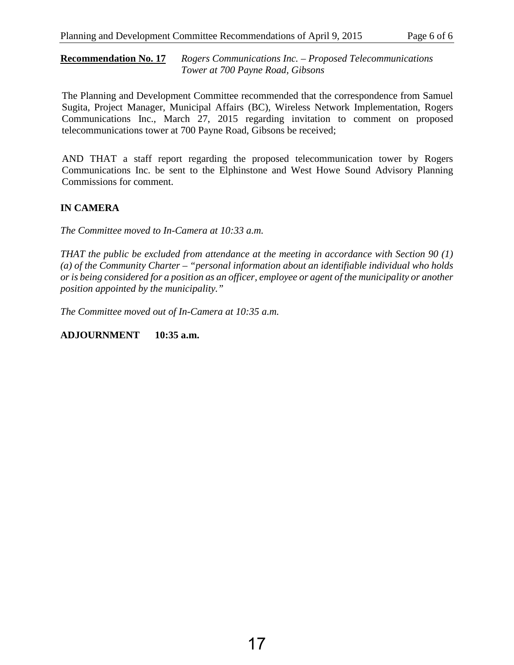**Recommendation No. 17** *Rogers Communications Inc. – Proposed Telecommunications Tower at 700 Payne Road, Gibsons*

The Planning and Development Committee recommended that the correspondence from Samuel Sugita, Project Manager, Municipal Affairs (BC), Wireless Network Implementation, Rogers Communications Inc., March 27, 2015 regarding invitation to comment on proposed telecommunications tower at 700 Payne Road, Gibsons be received;

AND THAT a staff report regarding the proposed telecommunication tower by Rogers Communications Inc. be sent to the Elphinstone and West Howe Sound Advisory Planning Commissions for comment.

# **IN CAMERA**

*The Committee moved to In-Camera at 10:33 a.m.*

*THAT the public be excluded from attendance at the meeting in accordance with Section 90 (1) (a) of the Community Charter – "personal information about an identifiable individual who holds or is being considered for a position as an officer, employee or agent of the municipality or another position appointed by the municipality."* 

*The Committee moved out of In-Camera at 10:35 a.m.*

**ADJOURNMENT 10:35 a.m.**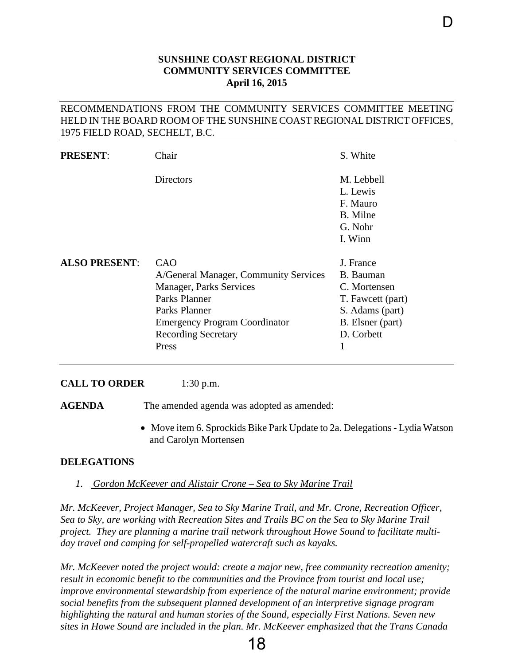# **SUNSHINE COAST REGIONAL DISTRICT COMMUNITY SERVICES COMMITTEE April 16, 2015**

D

## <span id="page-20-0"></span>RECOMMENDATIONS FROM THE COMMUNITY SERVICES COMMITTEE MEETING HELD IN THE BOARD ROOM OF THE SUNSHINE COAST REGIONAL DISTRICT OFFICES, 1975 FIELD ROAD, SECHELT, B.C.

| <b>PRESENT:</b>      | Chair                                                                                                                                                                                    | S. White                                                                                                         |
|----------------------|------------------------------------------------------------------------------------------------------------------------------------------------------------------------------------------|------------------------------------------------------------------------------------------------------------------|
|                      | Directors                                                                                                                                                                                | M. Lebbell<br>L. Lewis<br>F. Mauro<br>B. Milne<br>G. Nohr<br>I. Winn                                             |
| <b>ALSO PRESENT:</b> | CAO<br>A/General Manager, Community Services<br>Manager, Parks Services<br>Parks Planner<br>Parks Planner<br><b>Emergency Program Coordinator</b><br><b>Recording Secretary</b><br>Press | J. France<br>B. Bauman<br>C. Mortensen<br>T. Fawcett (part)<br>S. Adams (part)<br>B. Elsner (part)<br>D. Corbett |

#### **CALL TO ORDER** 1:30 p.m.

AGENDA The amended agenda was adopted as amended:

• Move item 6. Sprockids Bike Park Update to 2a. Delegations - Lydia Watson and Carolyn Mortensen

#### **DELEGATIONS**

*1. Gordon McKeever and Alistair Crone – Sea to Sky Marine Trail* 

*Mr. McKeever, Project Manager, Sea to Sky Marine Trail, and Mr. Crone, Recreation Officer, Sea to Sky, are working with Recreation Sites and Trails BC on the Sea to Sky Marine Trail project. They are planning a marine trail network throughout Howe Sound to facilitate multiday travel and camping for self-propelled watercraft such as kayaks.* 

*Mr. McKeever noted the project would: create a major new, free community recreation amenity; result in economic benefit to the communities and the Province from tourist and local use; improve environmental stewardship from experience of the natural marine environment; provide social benefits from the subsequent planned development of an interpretive signage program highlighting the natural and human stories of the Sound, especially First Nations. Seven new sites in Howe Sound are included in the plan. Mr. McKeever emphasized that the Trans Canada* 

18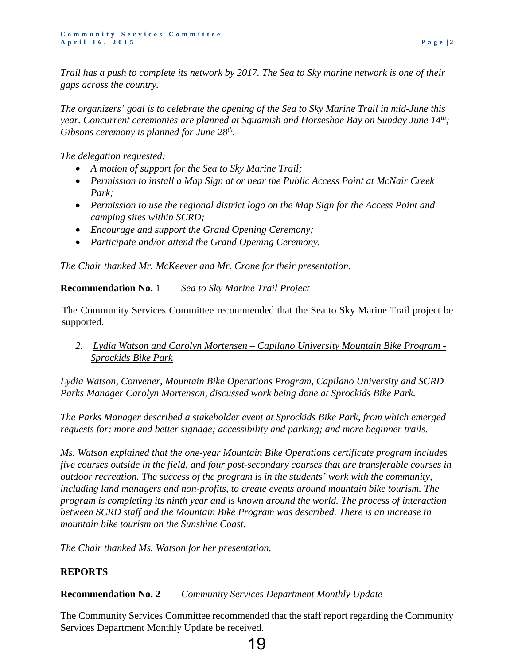*Trail has a push to complete its network by 2017. The Sea to Sky marine network is one of their gaps across the country.* 

*The organizers' goal is to celebrate the opening of the Sea to Sky Marine Trail in mid-June this year. Concurrent ceremonies are planned at Squamish and Horseshoe Bay on Sunday June 14th; Gibsons ceremony is planned for June 28th.* 

*The delegation requested:* 

- *A motion of support for the Sea to Sky Marine Trail;*
- *Permission to install a Map Sign at or near the Public Access Point at McNair Creek Park;*
- *Permission to use the regional district logo on the Map Sign for the Access Point and camping sites within SCRD;*
- *Encourage and support the Grand Opening Ceremony;*
- *Participate and/or attend the Grand Opening Ceremony.*

*The Chair thanked Mr. McKeever and Mr. Crone for their presentation.* 

**Recommendation No.** 1 *Sea to Sky Marine Trail Project*

The Community Services Committee recommended that the Sea to Sky Marine Trail project be supported.

*2. Lydia Watson and Carolyn Mortensen – Capilano University Mountain Bike Program - Sprockids Bike Park* 

*Lydia Watson, Convener, Mountain Bike Operations Program, Capilano University and SCRD Parks Manager Carolyn Mortenson, discussed work being done at Sprockids Bike Park.* 

*The Parks Manager described a stakeholder event at Sprockids Bike Park, from which emerged requests for: more and better signage; accessibility and parking; and more beginner trails.* 

*Ms. Watson explained that the one-year Mountain Bike Operations certificate program includes five courses outside in the field, and four post-secondary courses that are transferable courses in outdoor recreation. The success of the program is in the students' work with the community, including land managers and non-profits, to create events around mountain bike tourism. The program is completing its ninth year and is known around the world. The process of interaction between SCRD staff and the Mountain Bike Program was described. There is an increase in mountain bike tourism on the Sunshine Coast.* 

*The Chair thanked Ms. Watson for her presentation.* 

# **REPORTS**

**Recommendation No. 2** *Community Services Department Monthly Update*

The Community Services Committee recommended that the staff report regarding the Community Services Department Monthly Update be received.

# 19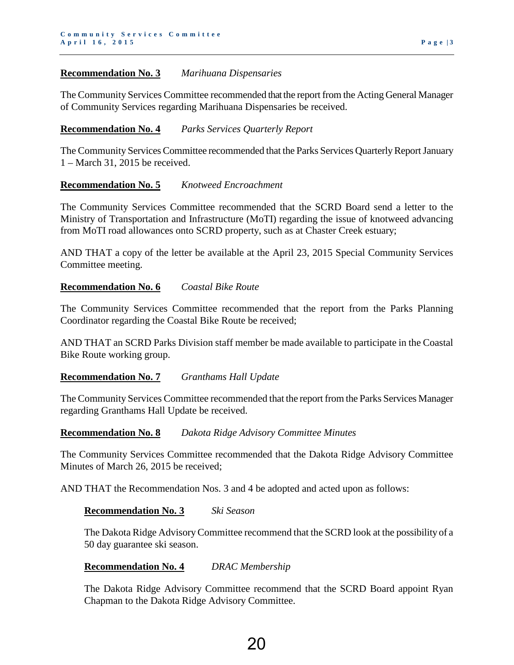#### **Recommendation No. 3** *Marihuana Dispensaries*

The Community Services Committee recommended that the report from the Acting General Manager of Community Services regarding Marihuana Dispensaries be received.

#### **Recommendation No. 4** *Parks Services Quarterly Report*

The Community Services Committee recommended that the Parks Services Quarterly Report January 1 – March 31, 2015 be received.

#### **Recommendation No. 5** *Knotweed Encroachment*

The Community Services Committee recommended that the SCRD Board send a letter to the Ministry of Transportation and Infrastructure (MoTI) regarding the issue of knotweed advancing from MoTI road allowances onto SCRD property, such as at Chaster Creek estuary;

AND THAT a copy of the letter be available at the April 23, 2015 Special Community Services Committee meeting.

#### **Recommendation No. 6** *Coastal Bike Route*

The Community Services Committee recommended that the report from the Parks Planning Coordinator regarding the Coastal Bike Route be received;

AND THAT an SCRD Parks Division staff member be made available to participate in the Coastal Bike Route working group.

#### **Recommendation No. 7** *Granthams Hall Update*

The Community Services Committee recommended that the report from the Parks Services Manager regarding Granthams Hall Update be received.

#### **Recommendation No. 8** *Dakota Ridge Advisory Committee Minutes*

The Community Services Committee recommended that the Dakota Ridge Advisory Committee Minutes of March 26, 2015 be received;

AND THAT the Recommendation Nos. 3 and 4 be adopted and acted upon as follows:

#### **Recommendation No. 3** *Ski Season*

The Dakota Ridge Advisory Committee recommend that the SCRD look at the possibility of a 50 day guarantee ski season.

#### **Recommendation No. 4** *DRAC Membership*

The Dakota Ridge Advisory Committee recommend that the SCRD Board appoint Ryan Chapman to the Dakota Ridge Advisory Committee.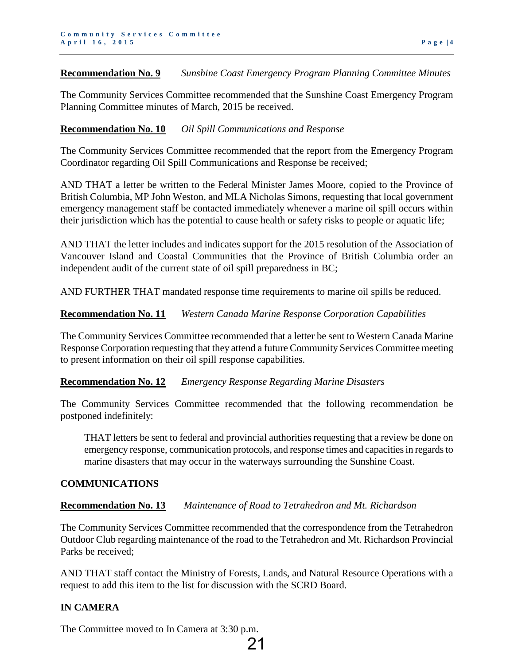#### **Recommendation No. 9** *Sunshine Coast Emergency Program Planning Committee Minutes*

The Community Services Committee recommended that the Sunshine Coast Emergency Program Planning Committee minutes of March, 2015 be received.

## **Recommendation No. 10** *Oil Spill Communications and Response*

The Community Services Committee recommended that the report from the Emergency Program Coordinator regarding Oil Spill Communications and Response be received;

AND THAT a letter be written to the Federal Minister James Moore, copied to the Province of British Columbia, MP John Weston, and MLA Nicholas Simons, requesting that local government emergency management staff be contacted immediately whenever a marine oil spill occurs within their jurisdiction which has the potential to cause health or safety risks to people or aquatic life;

AND THAT the letter includes and indicates support for the 2015 resolution of the Association of Vancouver Island and Coastal Communities that the Province of British Columbia order an independent audit of the current state of oil spill preparedness in BC;

AND FURTHER THAT mandated response time requirements to marine oil spills be reduced.

# **Recommendation No. 11** *Western Canada Marine Response Corporation Capabilities*

The Community Services Committee recommended that a letter be sent to Western Canada Marine Response Corporation requesting that they attend a future Community Services Committee meeting to present information on their oil spill response capabilities.

#### **Recommendation No. 12** *Emergency Response Regarding Marine Disasters*

The Community Services Committee recommended that the following recommendation be postponed indefinitely:

THAT letters be sent to federal and provincial authorities requesting that a review be done on emergency response, communication protocols, and response times and capacities in regards to marine disasters that may occur in the waterways surrounding the Sunshine Coast.

#### **COMMUNICATIONS**

# **Recommendation No. 13** *Maintenance of Road to Tetrahedron and Mt. Richardson*

The Community Services Committee recommended that the correspondence from the Tetrahedron Outdoor Club regarding maintenance of the road to the Tetrahedron and Mt. Richardson Provincial Parks be received;

AND THAT staff contact the Ministry of Forests, Lands, and Natural Resource Operations with a request to add this item to the list for discussion with the SCRD Board.

21

# **IN CAMERA**

The Committee moved to In Camera at 3:30 p.m.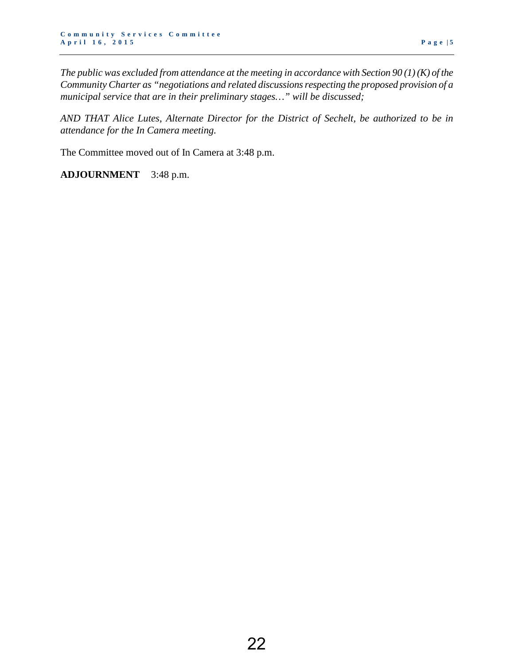*The public was excluded from attendance at the meeting in accordance with Section 90 (1) (K) of the Community Charter as "negotiations and related discussions respecting the proposed provision of a municipal service that are in their preliminary stages…" will be discussed;* 

*AND THAT Alice Lutes, Alternate Director for the District of Sechelt, be authorized to be in attendance for the In Camera meeting.* 

The Committee moved out of In Camera at 3:48 p.m.

**ADJOURNMENT** 3:48 p.m.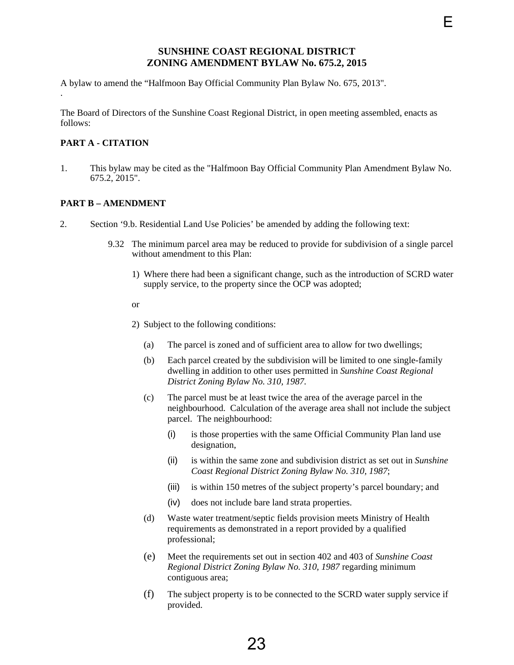#### **SUNSHINE COAST REGIONAL DISTRICT ZONING AMENDMENT BYLAW No. 675.2, 2015**

<span id="page-25-0"></span>A bylaw to amend the "Halfmoon Bay Official Community Plan Bylaw No. 675, 2013".

The Board of Directors of the Sunshine Coast Regional District, in open meeting assembled, enacts as follows:

#### **PART A - CITATION**

.

1. This bylaw may be cited as the "Halfmoon Bay Official Community Plan Amendment Bylaw No. 675.2, 2015".

#### **PART B – AMENDMENT**

- 2. Section '9.b. Residential Land Use Policies' be amended by adding the following text:
	- 9.32 The minimum parcel area may be reduced to provide for subdivision of a single parcel without amendment to this Plan:
		- 1) Where there had been a significant change, such as the introduction of SCRD water supply service, to the property since the OCP was adopted;

#### or

- 2) Subject to the following conditions:
	- (a) The parcel is zoned and of sufficient area to allow for two dwellings;
	- (b) Each parcel created by the subdivision will be limited to one single-family dwelling in addition to other uses permitted in *Sunshine Coast Regional District Zoning Bylaw No. 310, 1987.*
	- (c) The parcel must be at least twice the area of the average parcel in the neighbourhood. Calculation of the average area shall not include the subject parcel. The neighbourhood:
		- (i) is those properties with the same Official Community Plan land use designation,
		- (ii) is within the same zone and subdivision district as set out in *Sunshine Coast Regional District Zoning Bylaw No. 310, 1987*;
		- (iii) is within 150 metres of the subject property's parcel boundary; and
		- (iv) does not include bare land strata properties.
	- (d) Waste water treatment/septic fields provision meets Ministry of Health requirements as demonstrated in a report provided by a qualified professional;
	- (e) Meet the requirements set out in section 402 and 403 of *Sunshine Coast Regional District Zoning Bylaw No. 310, 1987* regarding minimum contiguous area;
	- (f) The subject property is to be connected to the SCRD water supply service if provided.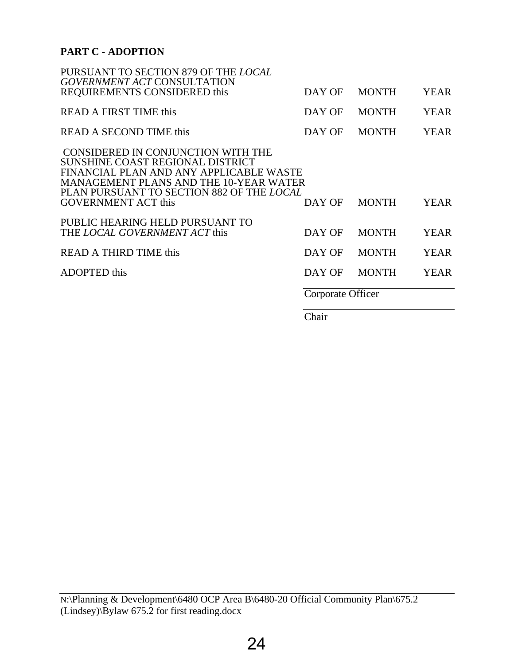# **PART C - ADOPTION**

|                                                                                                                                                                                                                                        | Corporate Officer |              |             |
|----------------------------------------------------------------------------------------------------------------------------------------------------------------------------------------------------------------------------------------|-------------------|--------------|-------------|
| <b>ADOPTED</b> this                                                                                                                                                                                                                    | DAY OF            | <b>MONTH</b> | <b>YEAR</b> |
| <b>READ A THIRD TIME this</b>                                                                                                                                                                                                          | DAY OF            | <b>MONTH</b> | <b>YEAR</b> |
| PUBLIC HEARING HELD PURSUANT TO<br>THE LOCAL GOVERNMENT ACT this                                                                                                                                                                       | DAY OF            | <b>MONTH</b> | <b>YEAR</b> |
| CONSIDERED IN CONJUNCTION WITH THE<br>SUNSHINE COAST REGIONAL DISTRICT<br>FINANCIAL PLAN AND ANY APPLICABLE WASTE<br>MANAGEMENT PLANS AND THE 10-YEAR WATER<br>PLAN PURSUANT TO SECTION 882 OF THE LOCAL<br><b>GOVERNMENT ACT this</b> | DAY OF            | <b>MONTH</b> | <b>YEAR</b> |
| <b>READ A SECOND TIME this</b>                                                                                                                                                                                                         | DAY OF            | <b>MONTH</b> | <b>YEAR</b> |
| READ A FIRST TIME this                                                                                                                                                                                                                 | DAY OF            | <b>MONTH</b> | <b>YEAR</b> |
| PURSUANT TO SECTION 879 OF THE LOCAL<br><b>GOVERNMENT ACT CONSULTATION</b><br>REQUIREMENTS CONSIDERED this                                                                                                                             | DAY OF            | <b>MONTH</b> | <b>YEAR</b> |

Chair

N:\Planning & Development\6480 OCP Area B\6480-20 Official Community Plan\675.2 (Lindsey)\Bylaw 675.2 for first reading.docx